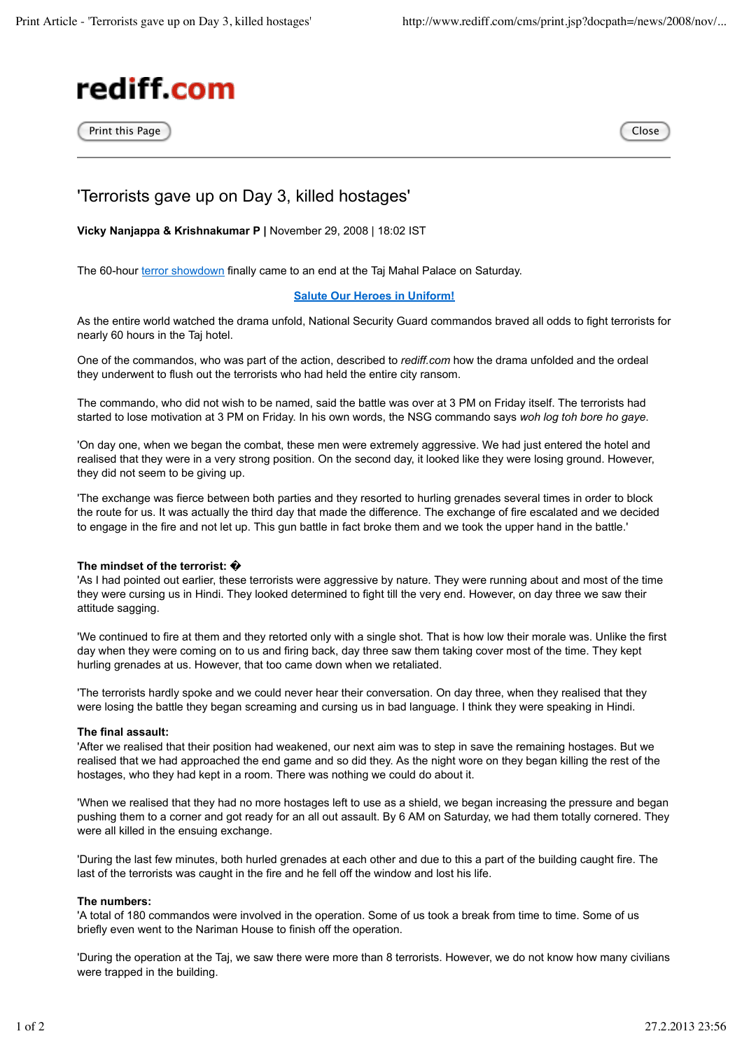

Print this Page close contract the Close contract of the Close contract of the Close



# 'Terrorists gave up on Day 3, killed hostages'

**Vicky Nanjappa & Krishnakumar P |** November 29, 2008 | 18:02 IST

The 60-hour terror showdown finally came to an end at the Taj Mahal Palace on Saturday.

# **Salute Our Heroes in Uniform!**

As the entire world watched the drama unfold, National Security Guard commandos braved all odds to fight terrorists for nearly 60 hours in the Taj hotel.

One of the commandos, who was part of the action, described to *rediff.com* how the drama unfolded and the ordeal they underwent to flush out the terrorists who had held the entire city ransom.

The commando, who did not wish to be named, said the battle was over at 3 PM on Friday itself. The terrorists had started to lose motivation at 3 PM on Friday. In his own words, the NSG commando says *woh log toh bore ho gaye*.

'On day one, when we began the combat, these men were extremely aggressive. We had just entered the hotel and realised that they were in a very strong position. On the second day, it looked like they were losing ground. However, they did not seem to be giving up.

'The exchange was fierce between both parties and they resorted to hurling grenades several times in order to block the route for us. It was actually the third day that made the difference. The exchange of fire escalated and we decided to engage in the fire and not let up. This gun battle in fact broke them and we took the upper hand in the battle.'

# **The mindset of the terrorist:** �

'As I had pointed out earlier, these terrorists were aggressive by nature. They were running about and most of the time they were cursing us in Hindi. They looked determined to fight till the very end. However, on day three we saw their attitude sagging.

'We continued to fire at them and they retorted only with a single shot. That is how low their morale was. Unlike the first day when they were coming on to us and firing back, day three saw them taking cover most of the time. They kept hurling grenades at us. However, that too came down when we retaliated.

'The terrorists hardly spoke and we could never hear their conversation. On day three, when they realised that they were losing the battle they began screaming and cursing us in bad language. I think they were speaking in Hindi.

#### **The final assault:**

'After we realised that their position had weakened, our next aim was to step in save the remaining hostages. But we realised that we had approached the end game and so did they. As the night wore on they began killing the rest of the hostages, who they had kept in a room. There was nothing we could do about it.

'When we realised that they had no more hostages left to use as a shield, we began increasing the pressure and began pushing them to a corner and got ready for an all out assault. By 6 AM on Saturday, we had them totally cornered. They were all killed in the ensuing exchange.

'During the last few minutes, both hurled grenades at each other and due to this a part of the building caught fire. The last of the terrorists was caught in the fire and he fell off the window and lost his life.

### **The numbers:**

'A total of 180 commandos were involved in the operation. Some of us took a break from time to time. Some of us briefly even went to the Nariman House to finish off the operation.

'During the operation at the Taj, we saw there were more than 8 terrorists. However, we do not know how many civilians were trapped in the building.